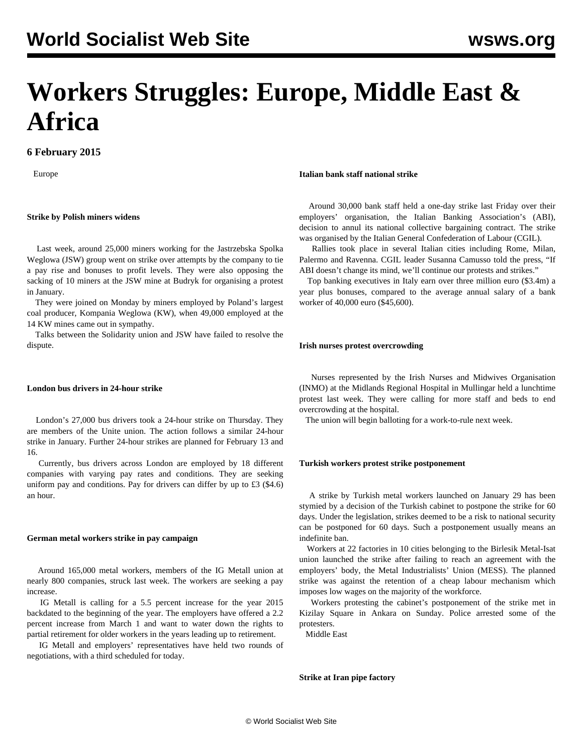# **Workers Struggles: Europe, Middle East & Africa**

# **6 February 2015**

Europe

# **Strike by Polish miners widens**

 Last week, around 25,000 miners working for the Jastrzebska Spolka Weglowa (JSW) group went on strike over attempts by the company to tie a pay rise and bonuses to profit levels. They were also opposing the sacking of 10 miners at the JSW mine at Budryk for organising a protest in January.

 They were joined on Monday by miners employed by Poland's largest coal producer, Kompania Weglowa (KW), when 49,000 employed at the 14 KW mines came out in sympathy.

 Talks between the Solidarity union and JSW have failed to resolve the dispute.

# **London bus drivers in 24-hour strike**

 London's 27,000 bus drivers took a 24-hour strike on Thursday. They are members of the Unite union. The action follows a similar 24-hour strike in January. Further 24-hour strikes are planned for February 13 and 16.

 Currently, bus drivers across London are employed by 18 different companies with varying pay rates and conditions. They are seeking uniform pay and conditions. Pay for drivers can differ by up to  $\pounds 3$  (\$4.6) an hour.

# **German metal workers strike in pay campaign**

 Around 165,000 metal workers, members of the IG Metall union at nearly 800 companies, struck last week. The workers are seeking a pay increase.

 IG Metall is calling for a 5.5 percent increase for the year 2015 backdated to the beginning of the year. The employers have offered a 2.2 percent increase from March 1 and want to water down the rights to partial retirement for older workers in the years leading up to retirement.

 IG Metall and employers' representatives have held two rounds of negotiations, with a third scheduled for today.

# **Italian bank staff national strike**

 Around 30,000 bank staff held a one-day strike last Friday over their employers' organisation, the Italian Banking Association's (ABI), decision to annul its national collective bargaining contract. The strike was organised by the Italian General Confederation of Labour (CGIL).

 Rallies took place in several Italian cities including Rome, Milan, Palermo and Ravenna. CGIL leader Susanna Camusso told the press, "If ABI doesn't change its mind, we'll continue our protests and strikes."

 Top banking executives in Italy earn over three million euro (\$3.4m) a year plus bonuses, compared to the average annual salary of a bank worker of 40,000 euro (\$45,600).

# **Irish nurses protest overcrowding**

 Nurses represented by the Irish Nurses and Midwives Organisation (INMO) at the Midlands Regional Hospital in Mullingar held a lunchtime protest last week. They were calling for more staff and beds to end overcrowding at the hospital.

The union will begin balloting for a work-to-rule next week.

# **Turkish workers protest strike postponement**

 A strike by Turkish metal workers launched on January 29 has been stymied by a decision of the Turkish cabinet to postpone the strike for 60 days. Under the legislation, strikes deemed to be a risk to national security can be postponed for 60 days. Such a postponement usually means an indefinite ban.

 Workers at 22 factories in 10 cities belonging to the Birlesik Metal-Isat union launched the strike after failing to reach an agreement with the employers' body, the Metal Industrialists' Union (MESS). The planned strike was against the retention of a cheap labour mechanism which imposes low wages on the majority of the workforce.

 Workers protesting the cabinet's postponement of the strike met in Kizilay Square in Ankara on Sunday. Police arrested some of the protesters.

Middle East

**Strike at Iran pipe factory**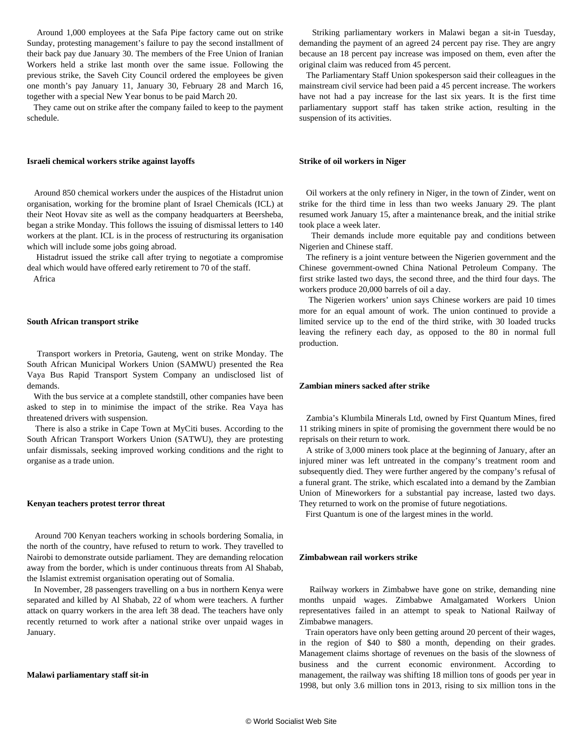Around 1,000 employees at the Safa Pipe factory came out on strike Sunday, protesting management's failure to pay the second installment of their back pay due January 30. The members of the Free Union of Iranian Workers held a strike last month over the same issue. Following the previous strike, the Saveh City Council ordered the employees be given one month's pay January 11, January 30, February 28 and March 16, together with a special New Year bonus to be paid March 20.

 They came out on strike after the company failed to keep to the payment schedule.

# **Israeli chemical workers strike against layoffs**

 Around 850 chemical workers under the auspices of the Histadrut union organisation, working for the bromine plant of Israel Chemicals (ICL) at their Neot Hovav site as well as the company headquarters at Beersheba, began a strike Monday. This follows the issuing of dismissal letters to 140 workers at the plant. ICL is in the process of restructuring its organisation which will include some jobs going abroad.

 Histadrut issued the strike call after trying to negotiate a compromise deal which would have offered early retirement to 70 of the staff. Africa

#### **South African transport strike**

 Transport workers in Pretoria, Gauteng, went on strike Monday. The South African Municipal Workers Union (SAMWU) presented the Rea Vaya Bus Rapid Transport System Company an undisclosed list of demands.

 With the bus service at a complete standstill, other companies have been asked to step in to minimise the impact of the strike. Rea Vaya has threatened drivers with suspension.

 There is also a strike in Cape Town at MyCiti buses. According to the South African Transport Workers Union (SATWU), they are protesting unfair dismissals, seeking improved working conditions and the right to organise as a trade union.

#### **Kenyan teachers protest terror threat**

 Around 700 Kenyan teachers working in schools bordering Somalia, in the north of the country, have refused to return to work. They travelled to Nairobi to demonstrate outside parliament. They are demanding relocation away from the border, which is under continuous threats from Al Shabab, the Islamist extremist organisation operating out of Somalia.

 In November, 28 passengers travelling on a bus in northern Kenya were separated and killed by Al Shabab, 22 of whom were teachers. A further attack on quarry workers in the area left 38 dead. The teachers have only recently returned to work after a national strike over unpaid wages in January.

# **Malawi parliamentary staff sit-in**

 Striking parliamentary workers in Malawi began a sit-in Tuesday, demanding the payment of an agreed 24 percent pay rise. They are angry because an 18 percent pay increase was imposed on them, even after the original claim was reduced from 45 percent.

 The Parliamentary Staff Union spokesperson said their colleagues in the mainstream civil service had been paid a 45 percent increase. The workers have not had a pay increase for the last six years. It is the first time parliamentary support staff has taken strike action, resulting in the suspension of its activities.

# **Strike of oil workers in Niger**

 Oil workers at the only refinery in Niger, in the town of Zinder, went on strike for the third time in less than two weeks January 29. The plant resumed work January 15, after a maintenance break, and the initial strike took place a week later.

 Their demands include more equitable pay and conditions between Nigerien and Chinese staff.

 The refinery is a joint venture between the Nigerien government and the Chinese government-owned China National Petroleum Company. The first strike lasted two days, the second three, and the third four days. The workers produce 20,000 barrels of oil a day.

 The Nigerien workers' union says Chinese workers are paid 10 times more for an equal amount of work. The union continued to provide a limited service up to the end of the third strike, with 30 loaded trucks leaving the refinery each day, as opposed to the 80 in normal full production.

#### **Zambian miners sacked after strike**

 Zambia's Klumbila Minerals Ltd, owned by First Quantum Mines, fired 11 striking miners in spite of promising the government there would be no reprisals on their return to work.

 A strike of 3,000 miners took place at the beginning of January, after an injured miner was left untreated in the company's treatment room and subsequently died. They were further angered by the company's refusal of a funeral grant. The strike, which escalated into a demand by the Zambian Union of Mineworkers for a substantial pay increase, lasted two days. They returned to work on the promise of future negotiations.

First Quantum is one of the largest mines in the world.

#### **Zimbabwean rail workers strike**

 Railway workers in Zimbabwe have gone on strike, demanding nine months unpaid wages. Zimbabwe Amalgamated Workers Union representatives failed in an attempt to speak to National Railway of Zimbabwe managers.

 Train operators have only been getting around 20 percent of their wages, in the region of \$40 to \$80 a month, depending on their grades. Management claims shortage of revenues on the basis of the slowness of business and the current economic environment. According to management, the railway was shifting 18 million tons of goods per year in 1998, but only 3.6 million tons in 2013, rising to six million tons in the